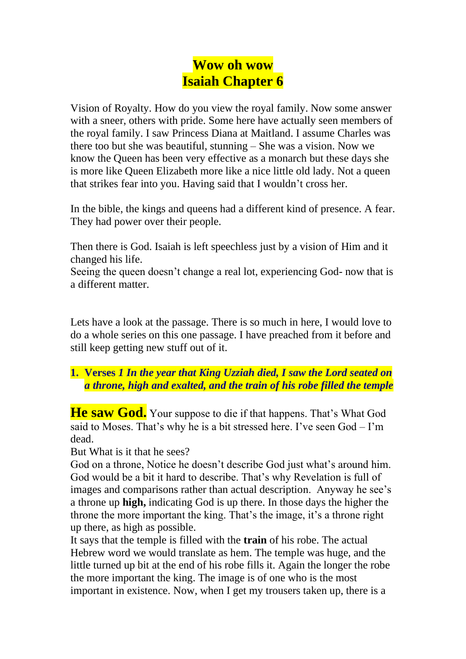# **Wow oh wow Isaiah Chapter 6**

Vision of Royalty. How do you view the royal family. Now some answer with a sneer, others with pride. Some here have actually seen members of the royal family. I saw Princess Diana at Maitland. I assume Charles was there too but she was beautiful, stunning – She was a vision. Now we know the Queen has been very effective as a monarch but these days she is more like Queen Elizabeth more like a nice little old lady. Not a queen that strikes fear into you. Having said that I wouldn't cross her.

In the bible, the kings and queens had a different kind of presence. A fear. They had power over their people.

Then there is God. Isaiah is left speechless just by a vision of Him and it changed his life.

Seeing the queen doesn't change a real lot, experiencing God- now that is a different matter.

Lets have a look at the passage. There is so much in here, I would love to do a whole series on this one passage. I have preached from it before and still keep getting new stuff out of it.

#### **1. Verses** *1 In the year that King Uzziah died, I saw the Lord seated on a throne, high and exalted, and the train of his robe filled the temple*

He saw God. Your suppose to die if that happens. That's What God said to Moses. That's why he is a bit stressed here. I've seen God – I'm dead.

But What is it that he sees?

God on a throne, Notice he doesn't describe God just what's around him. God would be a bit it hard to describe. That's why Revelation is full of images and comparisons rather than actual description. Anyway he see's a throne up **high,** indicating God is up there. In those days the higher the throne the more important the king. That's the image, it's a throne right up there, as high as possible.

It says that the temple is filled with the **train** of his robe. The actual Hebrew word we would translate as hem. The temple was huge, and the little turned up bit at the end of his robe fills it. Again the longer the robe the more important the king. The image is of one who is the most important in existence. Now, when I get my trousers taken up, there is a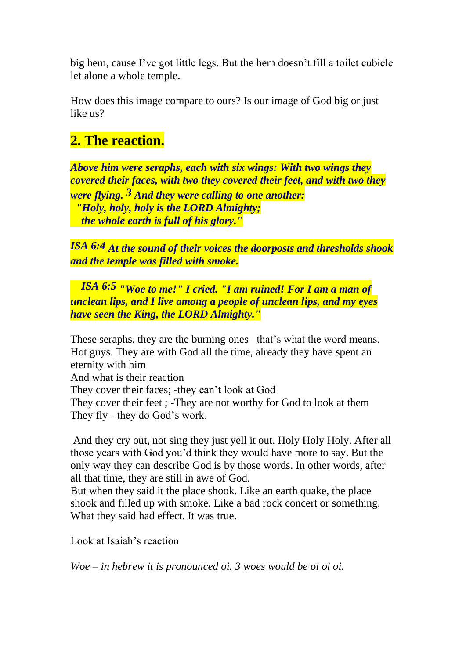big hem, cause I've got little legs. But the hem doesn't fill a toilet cubicle let alone a whole temple.

How does this image compare to ours? Is our image of God big or just like us?

#### **2. The reaction.**

*Above him were seraphs, each with six wings: With two wings they covered their faces, with two they covered their feet, and with two they were flying. 3 And they were calling to one another: "Holy, holy, holy is the LORD Almighty; the whole earth is full of his glory."*

*ISA 6:4 At the sound of their voices the doorposts and thresholds shook and the temple was filled with smoke.*

*ISA 6:5 "Woe to me!" I cried. "I am ruined! For I am a man of unclean lips, and I live among a people of unclean lips, and my eyes have seen the King, the LORD Almighty."*

These seraphs, they are the burning ones –that's what the word means. Hot guys. They are with God all the time, already they have spent an eternity with him

And what is their reaction

They cover their faces; -they can't look at God

They cover their feet ; -They are not worthy for God to look at them They fly - they do God's work.

And they cry out, not sing they just yell it out. Holy Holy Holy. After all those years with God you'd think they would have more to say. But the only way they can describe God is by those words. In other words, after all that time, they are still in awe of God.

But when they said it the place shook. Like an earth quake, the place shook and filled up with smoke. Like a bad rock concert or something. What they said had effect. It was true.

Look at Isaiah's reaction

*Woe – in hebrew it is pronounced oi. 3 woes would be oi oi oi.*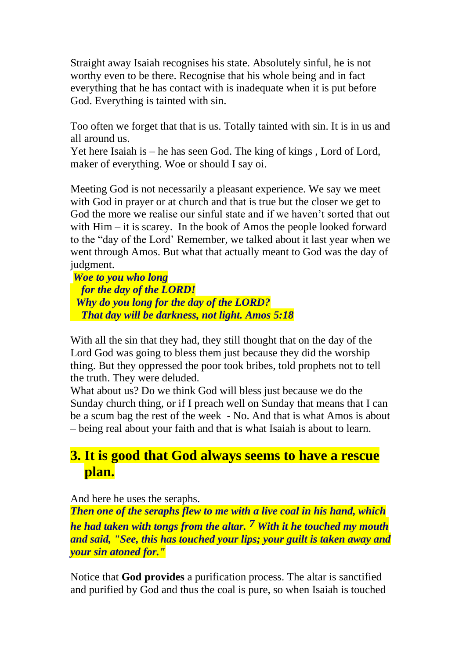Straight away Isaiah recognises his state. Absolutely sinful, he is not worthy even to be there. Recognise that his whole being and in fact everything that he has contact with is inadequate when it is put before God. Everything is tainted with sin.

Too often we forget that that is us. Totally tainted with sin. It is in us and all around us.

Yet here Isaiah is – he has seen God. The king of kings , Lord of Lord, maker of everything. Woe or should I say oi.

Meeting God is not necessarily a pleasant experience. We say we meet with God in prayer or at church and that is true but the closer we get to God the more we realise our sinful state and if we haven't sorted that out with Him – it is scarey. In the book of Amos the people looked forward to the "day of the Lord' Remember, we talked about it last year when we went through Amos. But what that actually meant to God was the day of judgment.

*Woe to you who long for the day of the LORD! Why do you long for the day of the LORD? That day will be darkness, not light. Amos 5:18*

With all the sin that they had, they still thought that on the day of the Lord God was going to bless them just because they did the worship thing. But they oppressed the poor took bribes, told prophets not to tell the truth. They were deluded.

What about us? Do we think God will bless just because we do the Sunday church thing, or if I preach well on Sunday that means that I can be a scum bag the rest of the week - No. And that is what Amos is about – being real about your faith and that is what Isaiah is about to learn.

## **3. It is good that God always seems to have a rescue plan.**

And here he uses the seraphs.

*Then one of the seraphs flew to me with a live coal in his hand, which he had taken with tongs from the altar. 7 With it he touched my mouth and said, "See, this has touched your lips; your guilt is taken away and your sin atoned for."*

Notice that **God provides** a purification process. The altar is sanctified and purified by God and thus the coal is pure, so when Isaiah is touched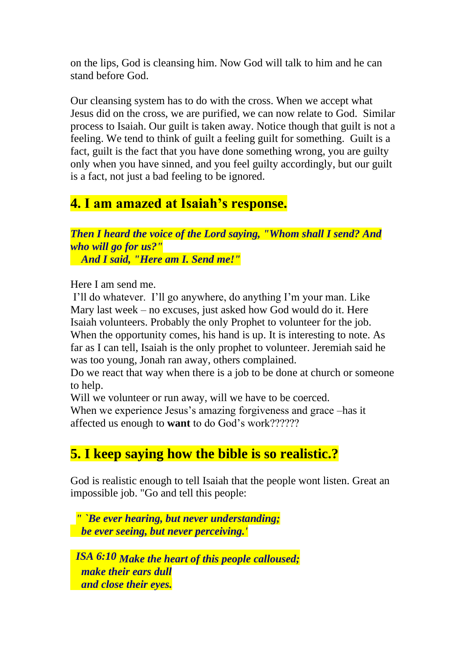on the lips, God is cleansing him. Now God will talk to him and he can stand before God.

Our cleansing system has to do with the cross. When we accept what Jesus did on the cross, we are purified, we can now relate to God. Similar process to Isaiah. Our guilt is taken away. Notice though that guilt is not a feeling. We tend to think of guilt a feeling guilt for something. Guilt is a fact, guilt is the fact that you have done something wrong, you are guilty only when you have sinned, and you feel guilty accordingly, but our guilt is a fact, not just a bad feeling to be ignored.

#### **4. I am amazed at Isaiah's response.**

*Then I heard the voice of the Lord saying, "Whom shall I send? And who will go for us?" And I said, "Here am I. Send me!"*

Here I am send me.

I'll do whatever. I'll go anywhere, do anything I'm your man. Like Mary last week – no excuses, just asked how God would do it. Here Isaiah volunteers. Probably the only Prophet to volunteer for the job. When the opportunity comes, his hand is up. It is interesting to note. As far as I can tell, Isaiah is the only prophet to volunteer. Jeremiah said he was too young, Jonah ran away, others complained.

Do we react that way when there is a job to be done at church or someone to help.

Will we volunteer or run away, will we have to be coerced.

When we experience Jesus's amazing forgiveness and grace –has it affected us enough to **want** to do God's work??????

## **5. I keep saying how the bible is so realistic.?**

God is realistic enough to tell Isaiah that the people wont listen. Great an impossible job. "Go and tell this people:

*" `Be ever hearing, but never understanding; be ever seeing, but never perceiving.'*

*ISA 6:10 Make the heart of this people calloused; make their ears dull and close their eyes.*